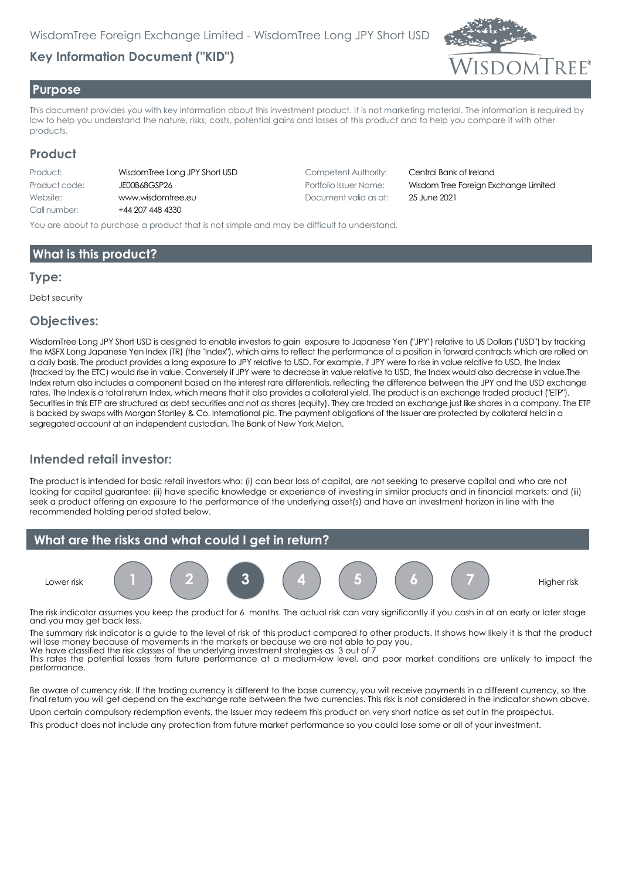# **Key Information Document ("KID")**



#### **Purpose**

This document provides you with key information about this investment product. It is not marketing material. The information is required by law to help you understand the nature, risks, costs, potential gains and losses of this product and to help you compare it with other products.

### **Product**

| WisdomTree Long  |
|------------------|
| JE00B68GSP26     |
| www.wisdomtree.  |
| +44 207 448 4330 |
|                  |

JPY Short USD Competent Authority: Central Bank of Ireland Website: www.wisdomtree.eu Document valid as at: 25 June 2021

Portfolio Issuer Name: **Wisdom Tree Foreign Exchange Limited** 

You are about to purchase a product that is not simple and may be difficult to understand.

## **What is this product?**

#### **Type:**

Debt security

#### **Objectives:**

WisdomTree Long JPY Short USD is designed to enable investors to gain exposure to Japanese Yen ("JPY") relative to US Dollars ("USD") by tracking the MSFX Long Japanese Yen Index (TR) (the "Index"), which aims to reflect the performance of a position in forward contracts which are rolled on a daily basis. The product provides a long exposure to JPY relative to USD. For example, if JPY were to rise in value relative to USD, the Index (tracked by the ETC) would rise in value. Conversely if JPY were to decrease in value relative to USD, the Index would also decrease in value.The Index return also includes a component based on the interest rate differentials, reflecting the difference between the JPY and the USD exchange rates. The Index is a total return Index, which means that it also provides a collateral yield. The product is an exchange traded product ("ETP"). Securities in this ETP are structured as debt securities and not as shares (equity). They are traded on exchange just like shares in a company. The ETP is backed by swaps with Morgan Stanley & Co. International plc. The payment obligations of the Issuer are protected by collateral held in a segregated account at an independent custodian, The Bank of New York Mellon.

## **Intended retail investor:**

The product is intended for basic retail investors who: (i) can bear loss of capital, are not seeking to preserve capital and who are not looking for capital guarantee; (ii) have specific knowledge or experience of investing in similar products and in financial markets; and (iii) seek a product offering an exposure to the performance of the underlying asset(s) and have an investment horizon in line with the recommended holding period stated below.



The risk indicator assumes you keep the product for 6 months. The actual risk can vary significantly if you cash in at an early or later stage and you may get back less.

The summary risk indicator is a guide to the level of risk of this product compared to other products. It shows how likely it is that the product will lose money because of movements in the markets or because we are not able to pay you. We have classified the risk classes of the underlying investment strategies as 3 out of 7

This rates the potential losses from future performance at a medium-low level, and poor market conditions are unlikely to impact the performance.

Be aware of currency risk. If the trading currency is different to the base currency, you will receive payments in a different currency, so the final return you will get depend on the exchange rate between the two currencies. This risk is not considered in the indicator shown above. Upon certain compulsory redemption events, the Issuer may redeem this product on very short notice as set out in the prospectus.

This product does not include any protection from future market performance so you could lose some or all of your investment.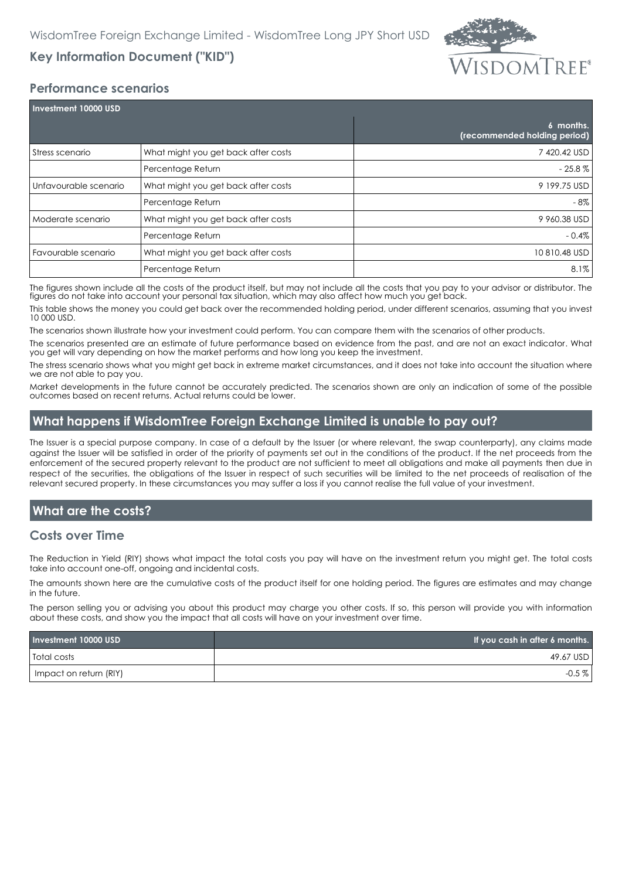

# **Key Information Document ("KID")**

#### **Performance scenarios**

| Investment 10000 USD  |                                     |                                           |  |
|-----------------------|-------------------------------------|-------------------------------------------|--|
|                       |                                     | 6 months.<br>(recommended holding period) |  |
| Stress scenario       | What might you get back after costs | 7420.42 USD                               |  |
|                       | Percentage Return                   | $-25.8\%$                                 |  |
| Unfavourable scenario | What might you get back after costs | 9 199.75 USD                              |  |
|                       | Percentage Return                   | - 8%                                      |  |
| Moderate scenario     | What might you get back after costs | 9 960.38 USD                              |  |
|                       | Percentage Return                   | $-0.4\%$                                  |  |
| Favourable scenario   | What might you get back after costs | 10 810.48 USD                             |  |
|                       | Percentage Return                   | $8.1\%$                                   |  |

The figures shown include all the costs of the product itself, but may not include all the costs that you pay to your advisor or distributor. The figures do not take into account your personal tax situation, which may also affect how much you get back.

This table shows the money you could get back over the recommended holding period, under different scenarios, assuming that you invest 10 000 USD.

The scenarios shown illustrate how your investment could perform. You can compare them with the scenarios of other products.

The scenarios presented are an estimate of future performance based on evidence from the past, and are not an exact indicator. What you get will vary depending on how the market performs and how long you keep the investment.

The stress scenario shows what you might get back in extreme market circumstances, and it does not take into account the situation where we are not able to pay you.

Market developments in the future cannot be accurately predicted. The scenarios shown are only an indication of some of the possible outcomes based on recent returns. Actual returns could be lower.

## **What happens if WisdomTree Foreign Exchange Limited is unable to pay out?**

The Issuer is a special purpose company. In case of a default by the Issuer (or where relevant, the swap counterparty), any claims made against the Issuer will be satisfied in order of the priority of payments set out in the conditions of the product. If the net proceeds from the enforcement of the secured property relevant to the product are not sufficient to meet all obligations and make all payments then due in respect of the securities, the obligations of the Issuer in respect of such securities will be limited to the net proceeds of realisation of the relevant secured property. In these circumstances you may suffer a loss if you cannot realise the full value of your investment.

## **What are the costs?**

#### **Costs over Time**

The Reduction in Yield (RIY) shows what impact the total costs you pay will have on the investment return you might get. The total costs take into account one-off, ongoing and incidental costs.

The amounts shown here are the cumulative costs of the product itself for one holding period. The figures are estimates and may change in the future.

The person selling you or advising you about this product may charge you other costs. If so, this person will provide you with information about these costs, and show you the impact that all costs will have on your investment over time.

| Investment 10000 USD   | If you cash in after 6 months. |
|------------------------|--------------------------------|
| Total costs            | 49.67 USD                      |
| Impact on return (RIY) | $-0.5\%$                       |